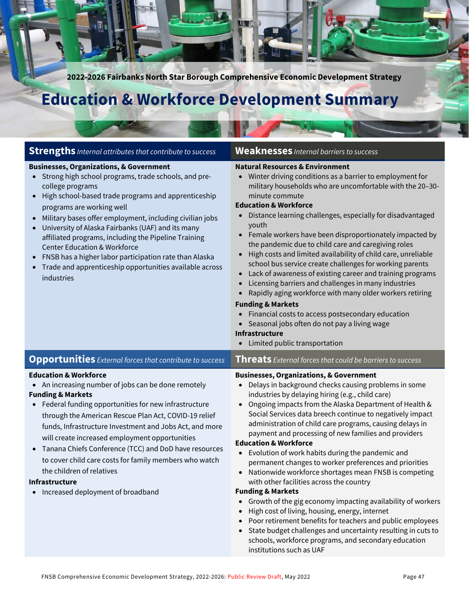**2022-2026 Fairbanks North Star Borough Comprehensive Economic Development Strategy**

UV.O

# **Education & Workforce Development Summary**

| <b>Strengths</b> Internal attributes that contribute to success                                                                                                                                                                                                                                                                                                                                                                                                                                                                                                                                                               | <b>Weaknesses</b> Internal barriers to success                                                                                                                                                                                                                                                                                                                                                                                                                                                                                                                                                                                                                                                                                                                                                                                                                                                                                                                                                                                                     |
|-------------------------------------------------------------------------------------------------------------------------------------------------------------------------------------------------------------------------------------------------------------------------------------------------------------------------------------------------------------------------------------------------------------------------------------------------------------------------------------------------------------------------------------------------------------------------------------------------------------------------------|----------------------------------------------------------------------------------------------------------------------------------------------------------------------------------------------------------------------------------------------------------------------------------------------------------------------------------------------------------------------------------------------------------------------------------------------------------------------------------------------------------------------------------------------------------------------------------------------------------------------------------------------------------------------------------------------------------------------------------------------------------------------------------------------------------------------------------------------------------------------------------------------------------------------------------------------------------------------------------------------------------------------------------------------------|
| <b>Businesses, Organizations, &amp; Government</b><br>Strong high school programs, trade schools, and pre-<br>$\bullet$<br>college programs<br>High school-based trade programs and apprenticeship<br>$\bullet$<br>programs are working well<br>Military bases offer employment, including civilian jobs<br>$\bullet$<br>University of Alaska Fairbanks (UAF) and its many<br>$\bullet$<br>affiliated programs, including the Pipeline Training<br><b>Center Education &amp; Workforce</b><br>FNSB has a higher labor participation rate than Alaska<br>Trade and apprenticeship opportunities available across<br>industries | <b>Natural Resources &amp; Environment</b><br>• Winter driving conditions as a barrier to employment for<br>military households who are uncomfortable with the 20-30-<br>minute commute<br><b>Education &amp; Workforce</b><br>• Distance learning challenges, especially for disadvantaged<br>youth<br>Female workers have been disproportionately impacted by<br>the pandemic due to child care and caregiving roles<br>High costs and limited availability of child care, unreliable<br>$\bullet$<br>school bus service create challenges for working parents<br>• Lack of awareness of existing career and training programs<br>Licensing barriers and challenges in many industries<br>Rapidly aging workforce with many older workers retiring<br><b>Funding &amp; Markets</b><br>Financial costs to access postsecondary education<br>• Seasonal jobs often do not pay a living wage<br><b>Infrastructure</b><br>Limited public transportation<br>$\bullet$                                                                                 |
| <b>Opportunities</b> External forces that contribute to success                                                                                                                                                                                                                                                                                                                                                                                                                                                                                                                                                               | Threats External forces that could be barriers to success                                                                                                                                                                                                                                                                                                                                                                                                                                                                                                                                                                                                                                                                                                                                                                                                                                                                                                                                                                                          |
| <b>Education &amp; Workforce</b><br>An increasing number of jobs can be done remotely<br><b>Funding &amp; Markets</b><br>Federal funding opportunities for new infrastructure<br>$\bullet$<br>through the American Rescue Plan Act, COVID-19 relief<br>funds, Infrastructure Investment and Jobs Act, and more<br>will create increased employment opportunities<br>Tanana Chiefs Conference (TCC) and DoD have resources<br>$\bullet$<br>to cover child care costs for family members who watch<br>the children of relatives<br>Infrastructure<br>• Increased deployment of broadband                                        | <b>Businesses, Organizations, &amp; Government</b><br>Delays in background checks causing problems in some<br>industries by delaying hiring (e.g., child care)<br>Ongoing impacts from the Alaska Department of Health &<br>$\bullet$<br>Social Services data breech continue to negatively impact<br>administration of child care programs, causing delays in<br>payment and processing of new families and providers<br><b>Education &amp; Workforce</b><br>Evolution of work habits during the pandemic and<br>$\bullet$<br>permanent changes to worker preferences and priorities<br>Nationwide workforce shortages mean FNSB is competing<br>$\bullet$<br>with other facilities across the country<br><b>Funding &amp; Markets</b><br>• Growth of the gig economy impacting availability of workers<br>High cost of living, housing, energy, internet<br>Poor retirement benefits for teachers and public employees<br>• State budget challenges and uncertainty resulting in cuts to<br>schools, workforce programs, and secondary education |

institutions such as UAF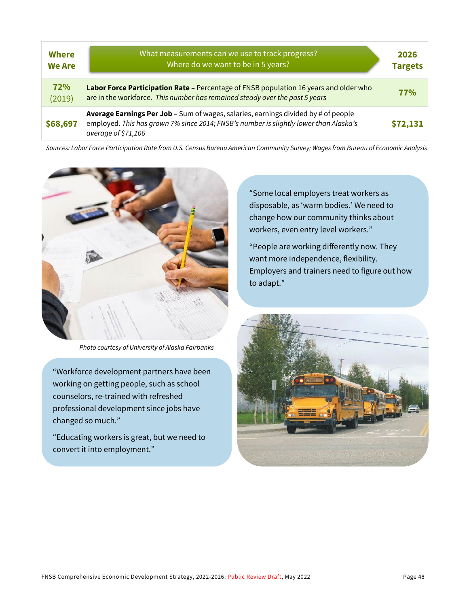| <b>Where</b><br><b>We Are</b> | What measurements can we use to track progress?<br>Where do we want to be in 5 years?                                                                                                              | 2026<br><b>Targets</b> |
|-------------------------------|----------------------------------------------------------------------------------------------------------------------------------------------------------------------------------------------------|------------------------|
| 72%<br>(2019)                 | Labor Force Participation Rate - Percentage of FNSB population 16 years and older who<br>are in the workforce. This number has remained steady over the past 5 years                               | 77%                    |
| \$68,697                      | Average Earnings Per Job - Sum of wages, salaries, earnings divided by # of people<br>employed. This has grown 7% since 2014; FNSB's number is slightly lower than Alaska's<br>average of \$71,106 | \$72,131               |

*Sources: Labor Force Participation Rate from U.S. Census Bureau American Community Survey; Wages from Bureau of Economic Analysis*



*Photo courtesy of University of Alaska Fairbanks*

"Workforce development partners have been working on getting people, such as school counselors, re-trained with refreshed professional development since jobs have changed so much."

"Educating workers is great, but we need to convert it into employment."

"Some local employers treat workers as disposable, as 'warm bodies.' We need to change how our community thinks about workers, even entry level workers."

"People are working differently now. They want more independence, flexibility. Employers and trainers need to figure out how to adapt."

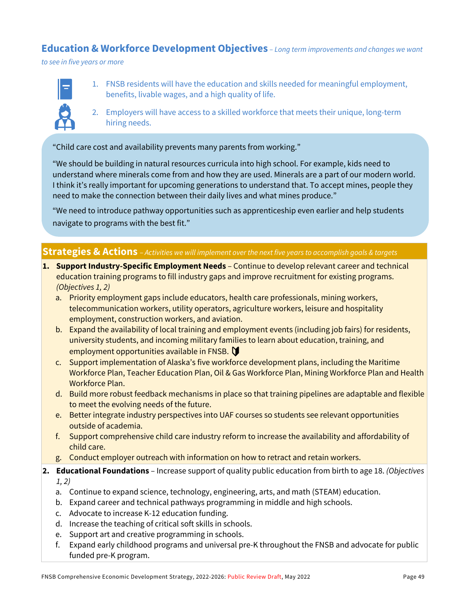### **Education & Workforce Development Objectives** *– Long term improvements and changes we want*

*to see in five years or more*



- 1. FNSB residents will have the education and skills needed for meaningful employment, benefits, livable wages, and a high quality of life.
- 2. Employers will have access to a skilled workforce that meets their unique, long-term hiring needs.

"Child care cost and availability prevents many parents from working."

"We should be building in natural resources curricula into high school. For example, kids need to understand where minerals come from and how they are used. Minerals are a part of our modern world. I think it's really important for upcoming generations to understand that. To accept mines, people they need to make the connection between their daily lives and what mines produce."

"We need to introduce pathway opportunities such as apprenticeship even earlier and help students navigate to programs with the best fit."

### **Strategies & Actions** – *Activities we will implement over the next five years to accomplish goals & targets*

- **1. Support Industry-Specific Employment Needs**  Continue to develop relevant career and technical education training programs to fill industry gaps and improve recruitment for existing programs. *(Objectives 1, 2)*
	- a. Priority employment gaps include educators, health care professionals, mining workers, telecommunication workers, utility operators, agriculture workers, leisure and hospitality employment, construction workers, and aviation.
	- b. Expand the availability of local training and employment events (including job fairs) for residents, university students, and incoming military families to learn about education, training, and employment opportunities available in FNSB.
	- c. Support implementation of Alaska's five workforce development plans, including the Maritime Workforce Plan, Teacher Education Plan, Oil & Gas Workforce Plan, Mining Workforce Plan and Health Workforce Plan.
	- d. Build more robust feedback mechanisms in place so that training pipelines are adaptable and flexible to meet the evolving needs of the future.
	- e. Better integrate industry perspectives into UAF courses so students see relevant opportunities outside of academia.
	- f. Support comprehensive child care industry reform to increase the availability and affordability of child care.
	- g. Conduct employer outreach with information on how to retract and retain workers.

#### **2. Educational Foundations** – Increase support of quality public education from birth to age 18. *(Objectives 1, 2)*

- a. Continue to expand science, technology, engineering, arts, and math (STEAM) education.
- b. Expand career and technical pathways programming in middle and high schools.
- c. Advocate to increase K-12 education funding.
- d. Increase the teaching of critical soft skills in schools.
- e. Support art and creative programming in schools.
- f. Expand early childhood programs and universal pre-K throughout the FNSB and advocate for public funded pre-K program.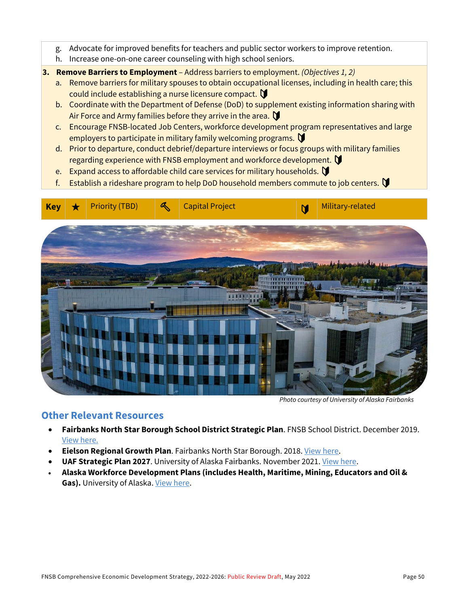- g. Advocate for improved benefits for teachers and public sector workers to improve retention.
- h. Increase one-on-one career counseling with high school seniors.
- **3. Remove Barriers to Employment**  Address barriers to employment. *(Objectives 1, 2)*
	- a. Remove barriers for military spouses to obtain occupational licenses, including in health care; this could include establishing a nurse licensure compact.  $\bigtriangledown$
	- b. Coordinate with the Department of Defense (DoD) to supplement existing information sharing with Air Force and Army families before they arrive in the area.  $\bigtriangledown$
	- c. Encourage FNSB-located Job Centers, workforce development program representatives and large employers to participate in military family welcoming programs.
	- d. Prior to departure, conduct debrief/departure interviews or focus groups with military families regarding experience with FNSB employment and workforce development.
	- e. Expand access to affordable child care services for military households.  $\mathbf \Omega$
	- f. Establish a rideshare program to help DoD household members commute to job centers.



*Photo courtesy of University of Alaska Fairbanks*

### **Other Relevant Resources**

- **Fairbanks North Star Borough School District Strategic Plan**. FNSB School District. December 2019. [View here.](https://www.k12northstar.org/strategic-plan)
- **Eielson Regional Growth Plan**. Fairbanks North Star Borough. 2018[. View here.](http://www.eafbregionalgrowth.com/)
- **UAF Strategic Plan 2027**. University of Alaska Fairbanks. November 2021. [View here.](https://uaf.edu/strategic/goals.php)
- **Alaska Workforce Development Plans (includes Health, Maritime, Mining, Educators and Oil &**  Gas). University of Alaska. [View here.](https://www.alaska.edu/research/wd/plans/)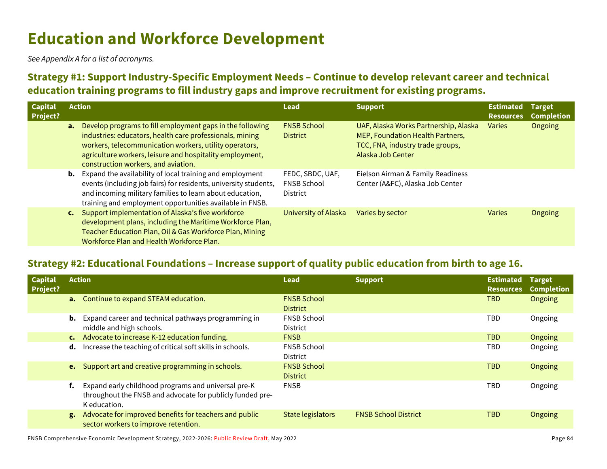# **Education and Workforce Development**

*See Appendix A for a list of acronyms.*

## **Strategy #1: Support Industry-Specific Employment Needs – Continue to develop relevant career and technical education training programs to fill industry gaps and improve recruitment for existing programs.**

| <b>Capital</b><br>Project? | <b>Action</b>  |                                                                                                                                                                                                                                                                                    | Lead                                                      | <b>Support</b>                                                                                                                     | <b>Estimated</b><br><b>Resources</b> | Target<br>Completion |
|----------------------------|----------------|------------------------------------------------------------------------------------------------------------------------------------------------------------------------------------------------------------------------------------------------------------------------------------|-----------------------------------------------------------|------------------------------------------------------------------------------------------------------------------------------------|--------------------------------------|----------------------|
|                            | a.             | Develop programs to fill employment gaps in the following<br>industries: educators, health care professionals, mining<br>workers, telecommunication workers, utility operators,<br>agriculture workers, leisure and hospitality employment,<br>construction workers, and aviation. | <b>FNSB School</b><br><b>District</b>                     | UAF, Alaska Works Partnership, Alaska<br>MEP, Foundation Health Partners,<br>TCC, FNA, industry trade groups,<br>Alaska Job Center | <b>Varies</b>                        | Ongoing              |
|                            | b.             | Expand the availability of local training and employment<br>events (including job fairs) for residents, university students,<br>and incoming military families to learn about education,<br>training and employment opportunities available in FNSB.                               | FEDC, SBDC, UAF,<br><b>FNSB School</b><br><b>District</b> | Eielson Airman & Family Readiness<br>Center (A&FC), Alaska Job Center                                                              |                                      |                      |
|                            | $\mathsf{c}$ . | Support implementation of Alaska's five workforce<br>development plans, including the Maritime Workforce Plan,<br>Teacher Education Plan, Oil & Gas Workforce Plan, Mining<br>Workforce Plan and Health Workforce Plan.                                                            | University of Alaska                                      | Varies by sector                                                                                                                   | <b>Varies</b>                        | Ongoing              |

### **Strategy #2: Educational Foundations – Increase support of quality public education from birth to age 16.**

| <b>Capital</b><br>Project? |                | <b>Action</b>                                                                                                                    | <b>Lead</b>                           | <b>Support</b>              | <b>Estimated</b><br><b>Resources</b> | <b>Target</b><br>Completion |
|----------------------------|----------------|----------------------------------------------------------------------------------------------------------------------------------|---------------------------------------|-----------------------------|--------------------------------------|-----------------------------|
|                            |                | a. Continue to expand STEAM education.                                                                                           | <b>FNSB School</b><br><b>District</b> |                             | <b>TBD</b>                           | Ongoing                     |
|                            | b.             | Expand career and technical pathways programming in<br>middle and high schools.                                                  | <b>FNSB School</b><br><b>District</b> |                             | <b>TBD</b>                           | Ongoing                     |
|                            | $\mathsf{c}$ . | Advocate to increase K-12 education funding.                                                                                     | <b>FNSB</b>                           |                             | <b>TBD</b>                           | Ongoing                     |
|                            | d.             | Increase the teaching of critical soft skills in schools.                                                                        | <b>FNSB School</b><br><b>District</b> |                             | <b>TBD</b>                           | Ongoing                     |
|                            |                | e. Support art and creative programming in schools.                                                                              | <b>FNSB School</b><br><b>District</b> |                             | <b>TBD</b>                           | Ongoing                     |
|                            |                | Expand early childhood programs and universal pre-K<br>throughout the FNSB and advocate for publicly funded pre-<br>K education. | <b>FNSB</b>                           |                             | <b>TBD</b>                           | Ongoing                     |
|                            | g.             | Advocate for improved benefits for teachers and public<br>sector workers to improve retention.                                   | State legislators                     | <b>FNSB School District</b> | <b>TBD</b>                           | Ongoing                     |